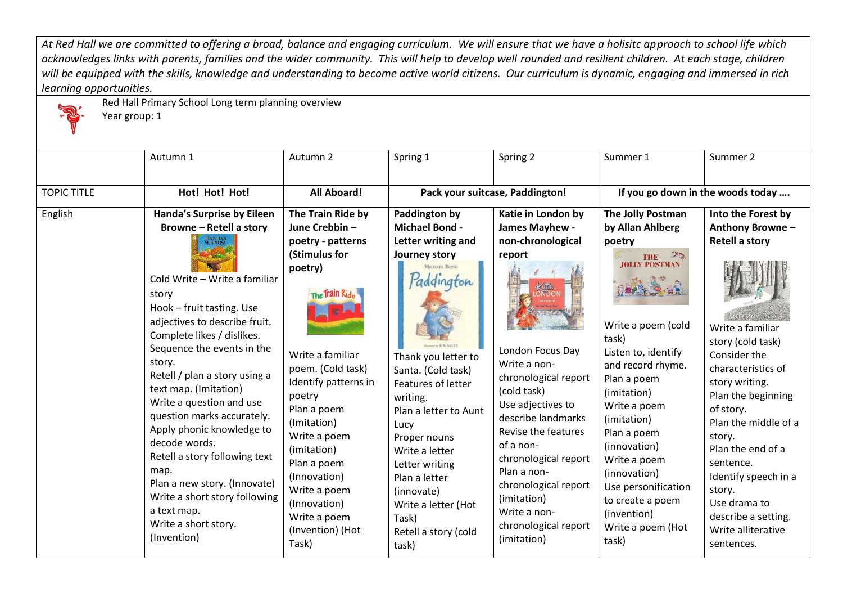*At Red Hall we are committed to offering a broad, balance and engaging curriculum. We will ensure that we have a holisitc approach to school life which*  acknowledges links with parents, families and the wider community. This will help to develop well rounded and resilient children. At each stage, children *will be equipped with the skills, knowledge and understanding to become active world citizens. Our curriculum is dynamic, engaging and immersed in rich learning opportunities.*



Red Hall Primary School Long term planning overview

Year group: 1

|                    | Autumn 1                                                                                                                                                                                                                                                                                                                                                                                                                                                                                                                                                                                                  | Autumn 2                                                                                                                                                                                                                                                                                                                                                  | Spring 1                                                                                                                                                                                                                                                                                                                                                                       | Spring 2                                                                                                                                                                                                                                                                                                                                                           | Summer 1                                                                                                                                                                                                                                                                                                                                                           | Summer 2                                                                                                                                                                                                                                                                                                                                                                            |
|--------------------|-----------------------------------------------------------------------------------------------------------------------------------------------------------------------------------------------------------------------------------------------------------------------------------------------------------------------------------------------------------------------------------------------------------------------------------------------------------------------------------------------------------------------------------------------------------------------------------------------------------|-----------------------------------------------------------------------------------------------------------------------------------------------------------------------------------------------------------------------------------------------------------------------------------------------------------------------------------------------------------|--------------------------------------------------------------------------------------------------------------------------------------------------------------------------------------------------------------------------------------------------------------------------------------------------------------------------------------------------------------------------------|--------------------------------------------------------------------------------------------------------------------------------------------------------------------------------------------------------------------------------------------------------------------------------------------------------------------------------------------------------------------|--------------------------------------------------------------------------------------------------------------------------------------------------------------------------------------------------------------------------------------------------------------------------------------------------------------------------------------------------------------------|-------------------------------------------------------------------------------------------------------------------------------------------------------------------------------------------------------------------------------------------------------------------------------------------------------------------------------------------------------------------------------------|
| <b>TOPIC TITLE</b> | Hot! Hot! Hot!                                                                                                                                                                                                                                                                                                                                                                                                                                                                                                                                                                                            | <b>All Aboard!</b>                                                                                                                                                                                                                                                                                                                                        |                                                                                                                                                                                                                                                                                                                                                                                | Pack your suitcase, Paddington!                                                                                                                                                                                                                                                                                                                                    |                                                                                                                                                                                                                                                                                                                                                                    | If you go down in the woods today                                                                                                                                                                                                                                                                                                                                                   |
| English            | Handa's Surprise by Eileen<br><b>Browne - Retell a story</b><br><b>JANDAS</b><br>JERPRISE<br>Cold Write - Write a familiar<br>story<br>Hook - fruit tasting. Use<br>adjectives to describe fruit.<br>Complete likes / dislikes.<br>Sequence the events in the<br>story.<br>Retell / plan a story using a<br>text map. (Imitation)<br>Write a question and use<br>question marks accurately.<br>Apply phonic knowledge to<br>decode words.<br>Retell a story following text<br>map.<br>Plan a new story. (Innovate)<br>Write a short story following<br>a text map.<br>Write a short story.<br>(Invention) | The Train Ride by<br>June Crebbin-<br>poetry - patterns<br>(Stimulus for<br>poetry)<br>The Train Ride<br>Write a familiar<br>poem. (Cold task)<br>Identify patterns in<br>poetry<br>Plan a poem<br>(Imitation)<br>Write a poem<br>(imitation)<br>Plan a poem<br>(Innovation)<br>Write a poem<br>(Innovation)<br>Write a poem<br>(Invention) (Hot<br>Task) | Paddington by<br><b>Michael Bond -</b><br>Letter writing and<br>Journey story<br>MICHAEL BOND<br>addinaton<br>Thank you letter to<br>Santa. (Cold task)<br>Features of letter<br>writing.<br>Plan a letter to Aunt<br>Lucy<br>Proper nouns<br>Write a letter<br>Letter writing<br>Plan a letter<br>(innovate)<br>Write a letter (Hot<br>Task)<br>Retell a story (cold<br>task) | Katie in London by<br>James Mayhew -<br>non-chronological<br>report<br>London Focus Day<br>Write a non-<br>chronological report<br>(cold task)<br>Use adjectives to<br>describe landmarks<br>Revise the features<br>of a non-<br>chronological report<br>Plan a non-<br>chronological report<br>(imitation)<br>Write a non-<br>chronological report<br>(imitation) | The Jolly Postman<br>by Allan Ahlberg<br>poetry<br>THE <sup>3</sup><br>Write a poem (cold<br>task)<br>Listen to, identify<br>and record rhyme.<br>Plan a poem<br>(imitation)<br>Write a poem<br>(imitation)<br>Plan a poem<br>(innovation)<br>Write a poem<br>(innovation)<br>Use personification<br>to create a poem<br>(invention)<br>Write a poem (Hot<br>task) | Into the Forest by<br>Anthony Browne-<br><b>Retell a story</b><br>Write a familiar<br>story (cold task)<br>Consider the<br>characteristics of<br>story writing.<br>Plan the beginning<br>of story.<br>Plan the middle of a<br>story.<br>Plan the end of a<br>sentence.<br>Identify speech in a<br>story.<br>Use drama to<br>describe a setting.<br>Write alliterative<br>sentences. |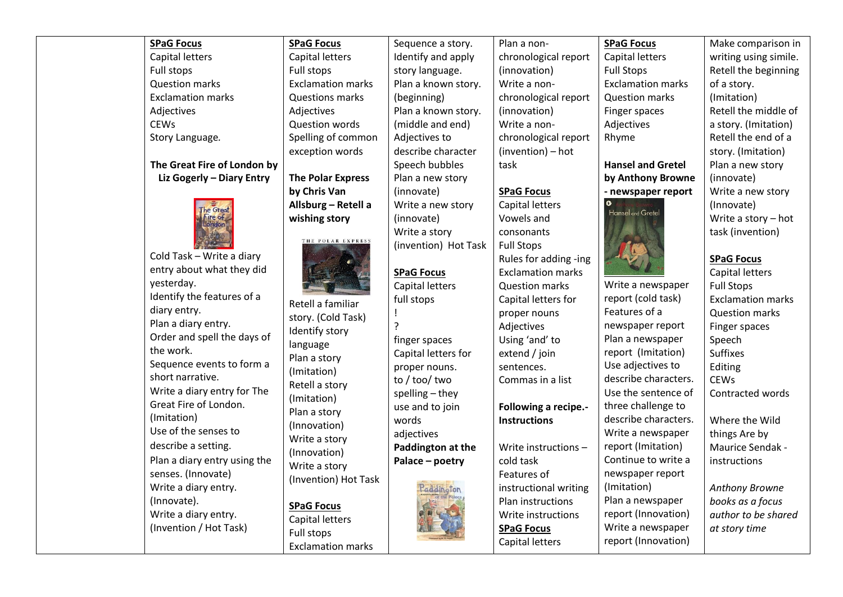| <b>SPaG Focus</b>            | <b>SPaG Focus</b>        | Sequence a story.    | Plan a non-              | <b>SPaG Focus</b>        | Make comparison in       |  |
|------------------------------|--------------------------|----------------------|--------------------------|--------------------------|--------------------------|--|
| Capital letters              | Capital letters          | Identify and apply   | chronological report     | Capital letters          | writing using simile.    |  |
| Full stops                   | Full stops               | story language.      | (innovation)             | <b>Full Stops</b>        | Retell the beginning     |  |
| <b>Question marks</b>        | <b>Exclamation marks</b> | Plan a known story.  | Write a non-             | <b>Exclamation marks</b> | of a story.              |  |
| <b>Exclamation marks</b>     | <b>Questions marks</b>   | (beginning)          | chronological report     | <b>Question marks</b>    | (Imitation)              |  |
| Adjectives                   | Adjectives               | Plan a known story.  | (innovation)             | Finger spaces            | Retell the middle of     |  |
| <b>CEWs</b>                  | <b>Question words</b>    | (middle and end)     | Write a non-             | Adjectives               | a story. (Imitation)     |  |
| Story Language.              | Spelling of common       | Adjectives to        | chronological report     | Rhyme                    | Retell the end of a      |  |
|                              | exception words          | describe character   | (invention) - hot        |                          | story. (Imitation)       |  |
| The Great Fire of London by  |                          | Speech bubbles       | task                     | <b>Hansel and Gretel</b> | Plan a new story         |  |
| Liz Gogerly - Diary Entry    | <b>The Polar Express</b> | Plan a new story     |                          | by Anthony Browne        | (innovate)               |  |
|                              | by Chris Van             | (innovate)           | <b>SPaG Focus</b>        | - newspaper report       | Write a new story        |  |
| e Great                      | Allsburg - Retell a      | Write a new story    | Capital letters          | Ō.                       | (Innovate)               |  |
| ire of<br>London             | wishing story            | (innovate)           | Vowels and               | Hansel and Gretel        | Write a story - hot      |  |
|                              |                          | Write a story        | consonants               |                          | task (invention)         |  |
|                              | THE POLAR EXPRESS        | (invention) Hot Task | <b>Full Stops</b>        |                          |                          |  |
| Cold Task - Write a diary    |                          |                      | Rules for adding -ing    |                          | <b>SPaG Focus</b>        |  |
| entry about what they did    |                          | <b>SPaG Focus</b>    | <b>Exclamation marks</b> |                          | Capital letters          |  |
| yesterday.                   |                          | Capital letters      | <b>Question marks</b>    | Write a newspaper        | <b>Full Stops</b>        |  |
| Identify the features of a   | Retell a familiar        | full stops           | Capital letters for      | report (cold task)       | <b>Exclamation marks</b> |  |
| diary entry.                 | story. (Cold Task)       |                      | proper nouns             | Features of a            | <b>Question marks</b>    |  |
| Plan a diary entry.          | Identify story           |                      | Adjectives               | newspaper report         | Finger spaces            |  |
| Order and spell the days of  | language                 | finger spaces        | Using 'and' to           | Plan a newspaper         | Speech                   |  |
| the work.                    | Plan a story             | Capital letters for  | extend / join            | report (Imitation)       | <b>Suffixes</b>          |  |
| Sequence events to form a    | (Imitation)              | proper nouns.        | sentences.               | Use adjectives to        | Editing                  |  |
| short narrative.             | Retell a story           | to / too/ two        | Commas in a list         | describe characters.     | <b>CEWs</b>              |  |
| Write a diary entry for The  | (Imitation)              | spelling - they      |                          | Use the sentence of      | Contracted words         |  |
| Great Fire of London.        | Plan a story             | use and to join      | Following a recipe.-     | three challenge to       |                          |  |
| (Imitation)                  | (Innovation)             | words                | <b>Instructions</b>      | describe characters.     | Where the Wild           |  |
| Use of the senses to         | Write a story            | adjectives           |                          | Write a newspaper        | things Are by            |  |
| describe a setting.          | (Innovation)             | Paddington at the    | Write instructions -     | report (Imitation)       | Maurice Sendak -         |  |
| Plan a diary entry using the | Write a story            | Palace - poetry      | cold task                | Continue to write a      | instructions             |  |
| senses. (Innovate)           | (Invention) Hot Task     |                      | Features of              | newspaper report         |                          |  |
| Write a diary entry.         |                          |                      | instructional writing    | (Imitation)              | Anthony Browne           |  |
| (Innovate).                  | <b>SPaG Focus</b>        |                      | Plan instructions        | Plan a newspaper         | books as a focus         |  |
| Write a diary entry.         | Capital letters          |                      | Write instructions       | report (Innovation)      | author to be shared      |  |
| (Invention / Hot Task)       | Full stons               |                      | <b>SPaG Focus</b>        | Write a newspaper        | at story time            |  |

**ALL SEP** 

Capital letters

report (Innovation)

Full stops

Exclamation marks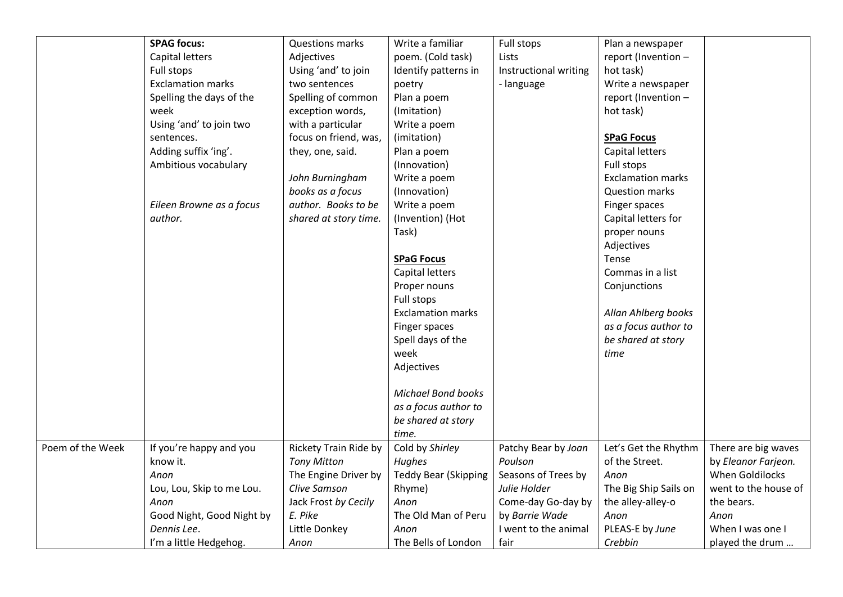|                  | <b>SPAG focus:</b>        | <b>Questions marks</b>       | Write a familiar            | Full stops            | Plan a newspaper         |                      |
|------------------|---------------------------|------------------------------|-----------------------------|-----------------------|--------------------------|----------------------|
|                  | Capital letters           | Adjectives                   | poem. (Cold task)           | Lists                 | report (Invention -      |                      |
|                  | Full stops                | Using 'and' to join          | Identify patterns in        | Instructional writing | hot task)                |                      |
|                  | <b>Exclamation marks</b>  | two sentences                | poetry                      | - language            | Write a newspaper        |                      |
|                  | Spelling the days of the  | Spelling of common           | Plan a poem                 |                       | report (Invention -      |                      |
|                  | week                      | exception words,             | (Imitation)                 |                       | hot task)                |                      |
|                  | Using 'and' to join two   | with a particular            | Write a poem                |                       |                          |                      |
|                  | sentences.                | focus on friend, was,        | (imitation)                 |                       | <b>SPaG Focus</b>        |                      |
|                  | Adding suffix 'ing'.      | they, one, said.             | Plan a poem                 |                       | Capital letters          |                      |
|                  | Ambitious vocabulary      |                              | (Innovation)                |                       | Full stops               |                      |
|                  |                           | John Burningham              | Write a poem                |                       | <b>Exclamation marks</b> |                      |
|                  |                           | books as a focus             | (Innovation)                |                       | <b>Question marks</b>    |                      |
|                  | Eileen Browne as a focus  | author. Books to be          | Write a poem                |                       | Finger spaces            |                      |
|                  | author.                   | shared at story time.        | (Invention) (Hot            |                       | Capital letters for      |                      |
|                  |                           |                              | Task)                       |                       | proper nouns             |                      |
|                  |                           |                              |                             |                       | Adjectives               |                      |
|                  |                           |                              | <b>SPaG Focus</b>           |                       | Tense                    |                      |
|                  |                           |                              | Capital letters             |                       | Commas in a list         |                      |
|                  |                           |                              | Proper nouns                |                       | Conjunctions             |                      |
|                  |                           |                              | Full stops                  |                       |                          |                      |
|                  |                           |                              | <b>Exclamation marks</b>    |                       | Allan Ahlberg books      |                      |
|                  |                           |                              | Finger spaces               |                       | as a focus author to     |                      |
|                  |                           |                              | Spell days of the           |                       | be shared at story       |                      |
|                  |                           |                              | week                        |                       | time                     |                      |
|                  |                           |                              | Adjectives                  |                       |                          |                      |
|                  |                           |                              |                             |                       |                          |                      |
|                  |                           |                              | <b>Michael Bond books</b>   |                       |                          |                      |
|                  |                           |                              | as a focus author to        |                       |                          |                      |
|                  |                           |                              | be shared at story          |                       |                          |                      |
|                  |                           |                              | time.                       |                       |                          |                      |
| Poem of the Week | If you're happy and you   | <b>Rickety Train Ride by</b> | Cold by Shirley             | Patchy Bear by Joan   | Let's Get the Rhythm     | There are big waves  |
|                  | know it.                  | <b>Tony Mitton</b>           | Hughes                      | Poulson               | of the Street.           | by Eleanor Farjeon.  |
|                  | Anon                      | The Engine Driver by         | <b>Teddy Bear (Skipping</b> | Seasons of Trees by   | Anon                     | When Goldilocks      |
|                  | Lou, Lou, Skip to me Lou. | Clive Samson                 | Rhyme)                      | Julie Holder          | The Big Ship Sails on    | went to the house of |
|                  | Anon                      | Jack Frost by Cecily         | Anon                        | Come-day Go-day by    | the alley-alley-o        | the bears.           |
|                  | Good Night, Good Night by | E. Pike                      | The Old Man of Peru         | by Barrie Wade        | Anon                     | Anon                 |
|                  | Dennis Lee.               | Little Donkey                | Anon                        | I went to the animal  | PLEAS-E by June          | When I was one I     |
|                  | I'm a little Hedgehog.    | Anon                         | The Bells of London         | fair                  | Crebbin                  | played the drum      |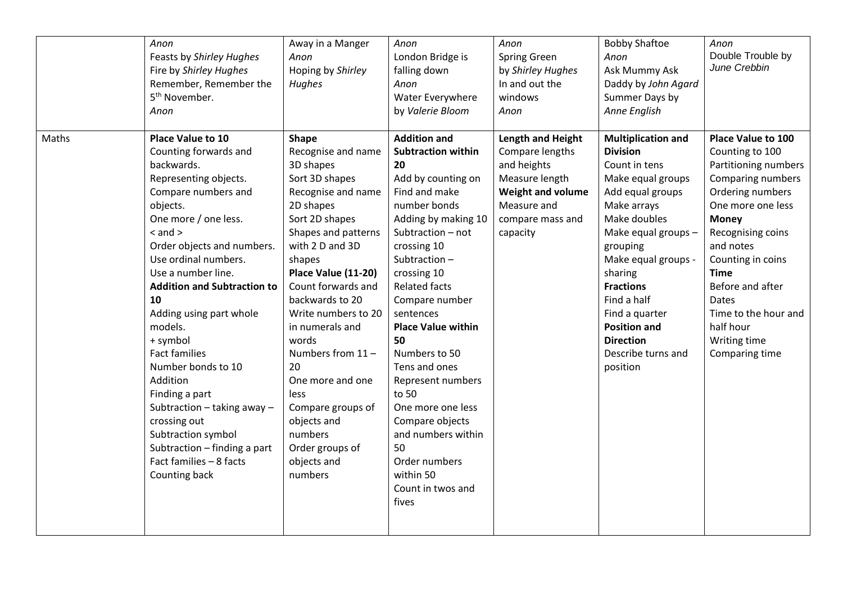|       | Anon<br>Feasts by Shirley Hughes<br>Fire by Shirley Hughes<br>Remember, Remember the<br>5 <sup>th</sup> November.<br>Anon                                                                                                                                                                                                                                                                                                                                                                                                                                              | Away in a Manger<br>Anon<br>Hoping by Shirley<br>Hughes                                                                                                                                                                                                                                                                                                                                                                                         | Anon<br>London Bridge is<br>falling down<br>Anon<br>Water Everywhere<br>by Valerie Bloom                                                                                                                                                                                                                                                                                                                                                                                                          | Anon<br><b>Spring Green</b><br>by Shirley Hughes<br>In and out the<br>windows<br>Anon                                                                   | <b>Bobby Shaftoe</b><br>Anon<br>Ask Mummy Ask<br>Daddy by John Agard<br>Summer Days by<br>Anne English                                                                                                                                                                                                                                       | Anon<br>Double Trouble by<br>June Crebbin                                                                                                                                                                                                                                                                                    |
|-------|------------------------------------------------------------------------------------------------------------------------------------------------------------------------------------------------------------------------------------------------------------------------------------------------------------------------------------------------------------------------------------------------------------------------------------------------------------------------------------------------------------------------------------------------------------------------|-------------------------------------------------------------------------------------------------------------------------------------------------------------------------------------------------------------------------------------------------------------------------------------------------------------------------------------------------------------------------------------------------------------------------------------------------|---------------------------------------------------------------------------------------------------------------------------------------------------------------------------------------------------------------------------------------------------------------------------------------------------------------------------------------------------------------------------------------------------------------------------------------------------------------------------------------------------|---------------------------------------------------------------------------------------------------------------------------------------------------------|----------------------------------------------------------------------------------------------------------------------------------------------------------------------------------------------------------------------------------------------------------------------------------------------------------------------------------------------|------------------------------------------------------------------------------------------------------------------------------------------------------------------------------------------------------------------------------------------------------------------------------------------------------------------------------|
| Maths | Place Value to 10<br>Counting forwards and<br>backwards.<br>Representing objects.<br>Compare numbers and<br>objects.<br>One more / one less.<br>$<$ and $>$<br>Order objects and numbers.<br>Use ordinal numbers.<br>Use a number line.<br><b>Addition and Subtraction to</b><br>10<br>Adding using part whole<br>models.<br>+ symbol<br><b>Fact families</b><br>Number bonds to 10<br>Addition<br>Finding a part<br>Subtraction $-$ taking away $-$<br>crossing out<br>Subtraction symbol<br>Subtraction - finding a part<br>Fact families - 8 facts<br>Counting back | <b>Shape</b><br>Recognise and name<br>3D shapes<br>Sort 3D shapes<br>Recognise and name<br>2D shapes<br>Sort 2D shapes<br>Shapes and patterns<br>with 2 D and 3D<br>shapes<br>Place Value (11-20)<br>Count forwards and<br>backwards to 20<br>Write numbers to 20<br>in numerals and<br>words<br>Numbers from 11-<br>20<br>One more and one<br>less<br>Compare groups of<br>objects and<br>numbers<br>Order groups of<br>objects and<br>numbers | <b>Addition and</b><br><b>Subtraction within</b><br>20<br>Add by counting on<br>Find and make<br>number bonds<br>Adding by making 10<br>Subtraction - not<br>crossing 10<br>Subtraction-<br>crossing 10<br><b>Related facts</b><br>Compare number<br>sentences<br><b>Place Value within</b><br>50<br>Numbers to 50<br>Tens and ones<br>Represent numbers<br>to 50<br>One more one less<br>Compare objects<br>and numbers within<br>50<br>Order numbers<br>within 50<br>Count in twos and<br>fives | <b>Length and Height</b><br>Compare lengths<br>and heights<br>Measure length<br><b>Weight and volume</b><br>Measure and<br>compare mass and<br>capacity | <b>Multiplication and</b><br><b>Division</b><br>Count in tens<br>Make equal groups<br>Add equal groups<br>Make arrays<br>Make doubles<br>Make equal groups -<br>grouping<br>Make equal groups -<br>sharing<br><b>Fractions</b><br>Find a half<br>Find a quarter<br><b>Position and</b><br><b>Direction</b><br>Describe turns and<br>position | <b>Place Value to 100</b><br>Counting to 100<br>Partitioning numbers<br>Comparing numbers<br>Ordering numbers<br>One more one less<br><b>Money</b><br>Recognising coins<br>and notes<br>Counting in coins<br><b>Time</b><br>Before and after<br>Dates<br>Time to the hour and<br>half hour<br>Writing time<br>Comparing time |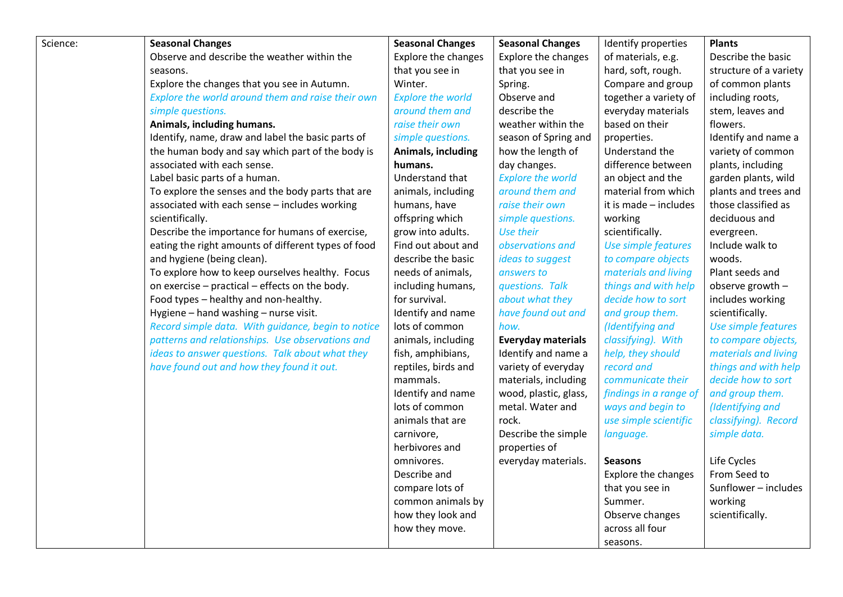| Science: | <b>Seasonal Changes</b>                             | <b>Seasonal Changes</b>    | <b>Seasonal Changes</b>    | Identify properties    | <b>Plants</b>          |
|----------|-----------------------------------------------------|----------------------------|----------------------------|------------------------|------------------------|
|          | Observe and describe the weather within the         | <b>Explore the changes</b> | <b>Explore the changes</b> | of materials, e.g.     | Describe the basic     |
|          | seasons.                                            | that you see in            | that you see in            | hard, soft, rough.     | structure of a variety |
|          | Explore the changes that you see in Autumn.         | Winter.                    | Spring.                    | Compare and group      | of common plants       |
|          | Explore the world around them and raise their own   | <b>Explore the world</b>   | Observe and                | together a variety of  | including roots,       |
|          | simple questions.                                   | around them and            | describe the               | everyday materials     | stem, leaves and       |
|          | Animals, including humans.                          | raise their own            | weather within the         | based on their         | flowers.               |
|          | Identify, name, draw and label the basic parts of   | simple questions.          | season of Spring and       | properties.            | Identify and name a    |
|          | the human body and say which part of the body is    | Animals, including         | how the length of          | Understand the         | variety of common      |
|          | associated with each sense.                         | humans.                    | day changes.               | difference between     | plants, including      |
|          | Label basic parts of a human.                       | Understand that            | <b>Explore the world</b>   | an object and the      | garden plants, wild    |
|          | To explore the senses and the body parts that are   | animals, including         | around them and            | material from which    | plants and trees and   |
|          | associated with each sense - includes working       | humans, have               | raise their own            | it is made - includes  | those classified as    |
|          | scientifically.                                     | offspring which            | simple questions.          | working                | deciduous and          |
|          | Describe the importance for humans of exercise,     | grow into adults.          | Use their                  | scientifically.        | evergreen.             |
|          | eating the right amounts of different types of food | Find out about and         | observations and           | Use simple features    | Include walk to        |
|          | and hygiene (being clean).                          | describe the basic         | ideas to suggest           | to compare objects     | woods.                 |
|          | To explore how to keep ourselves healthy. Focus     | needs of animals,          | answers to                 | materials and living   | Plant seeds and        |
|          | on exercise - practical - effects on the body.      | including humans,          | questions. Talk            | things and with help   | observe growth -       |
|          | Food types - healthy and non-healthy.               | for survival.              | about what they            | decide how to sort     | includes working       |
|          | Hygiene - hand washing - nurse visit.               | Identify and name          | have found out and         | and group them.        | scientifically.        |
|          | Record simple data. With guidance, begin to notice  | lots of common             | how.                       | (Identifying and       | Use simple features    |
|          | patterns and relationships. Use observations and    | animals, including         | <b>Everyday materials</b>  | classifying). With     | to compare objects,    |
|          | ideas to answer questions. Talk about what they     | fish, amphibians,          | Identify and name a        | help, they should      | materials and living   |
|          | have found out and how they found it out.           | reptiles, birds and        | variety of everyday        | record and             | things and with help   |
|          |                                                     | mammals.                   | materials, including       | communicate their      | decide how to sort     |
|          |                                                     | Identify and name          | wood, plastic, glass,      | findings in a range of | and group them.        |
|          |                                                     | lots of common             | metal. Water and           | ways and begin to      | (Identifying and       |
|          |                                                     | animals that are           | rock.                      | use simple scientific  | classifying). Record   |
|          |                                                     | carnivore,                 | Describe the simple        | language.              | simple data.           |
|          |                                                     | herbivores and             | properties of              |                        |                        |
|          |                                                     | omnivores.                 | everyday materials.        | <b>Seasons</b>         | Life Cycles            |
|          |                                                     | Describe and               |                            | Explore the changes    | From Seed to           |
|          |                                                     | compare lots of            |                            | that you see in        | Sunflower - includes   |
|          |                                                     | common animals by          |                            | Summer.                | working                |
|          |                                                     | how they look and          |                            | Observe changes        | scientifically.        |
|          |                                                     | how they move.             |                            | across all four        |                        |
|          |                                                     |                            |                            | seasons.               |                        |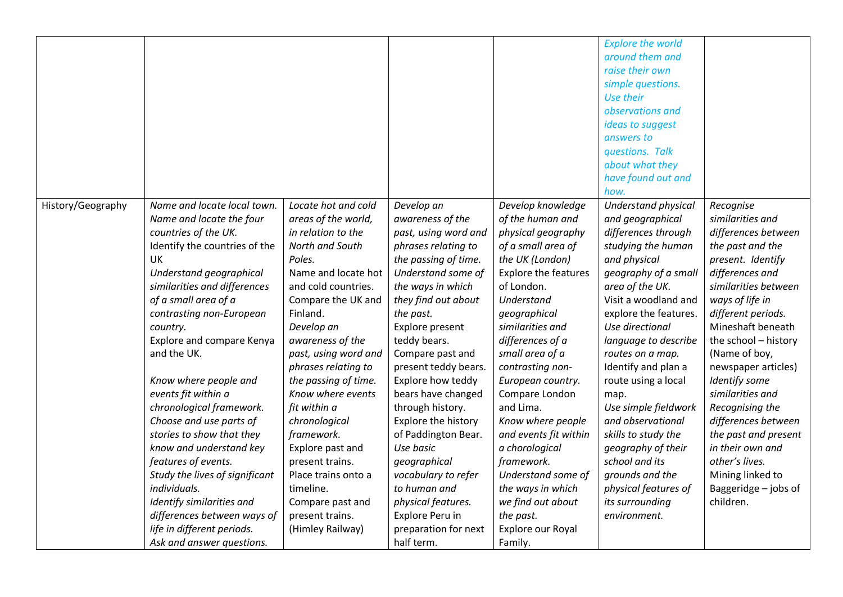|                   |                                |                      |                      |                             | <b>Explore the world</b><br>around them and<br>raise their own<br>simple questions.<br>Use their<br>observations and<br>ideas to suggest<br>answers to<br>questions. Talk<br>about what they |                      |
|-------------------|--------------------------------|----------------------|----------------------|-----------------------------|----------------------------------------------------------------------------------------------------------------------------------------------------------------------------------------------|----------------------|
|                   |                                |                      |                      |                             | have found out and<br>how.                                                                                                                                                                   |                      |
| History/Geography | Name and locate local town.    | Locate hot and cold  | Develop an           | Develop knowledge           | Understand physical                                                                                                                                                                          | Recognise            |
|                   | Name and locate the four       | areas of the world,  | awareness of the     | of the human and            | and geographical                                                                                                                                                                             | similarities and     |
|                   | countries of the UK.           | in relation to the   | past, using word and | physical geography          | differences through                                                                                                                                                                          | differences between  |
|                   | Identify the countries of the  | North and South      | phrases relating to  | of a small area of          | studying the human                                                                                                                                                                           | the past and the     |
|                   | UK                             | Poles.               | the passing of time. | the UK (London)             | and physical                                                                                                                                                                                 | present. Identify    |
|                   | Understand geographical        | Name and locate hot  | Understand some of   | <b>Explore the features</b> | geography of a small                                                                                                                                                                         | differences and      |
|                   | similarities and differences   | and cold countries.  | the ways in which    | of London.                  | area of the UK.                                                                                                                                                                              | similarities between |
|                   | of a small area of a           | Compare the UK and   | they find out about  | Understand                  | Visit a woodland and                                                                                                                                                                         | ways of life in      |
|                   | contrasting non-European       | Finland.             | the past.            | geographical                | explore the features.                                                                                                                                                                        | different periods.   |
|                   | country.                       | Develop an           | Explore present      | similarities and            | Use directional                                                                                                                                                                              | Mineshaft beneath    |
|                   | Explore and compare Kenya      | awareness of the     | teddy bears.         | differences of a            | language to describe                                                                                                                                                                         | the school - history |
|                   | and the UK.                    | past, using word and | Compare past and     | small area of a             | routes on a map.                                                                                                                                                                             | (Name of boy,        |
|                   |                                | phrases relating to  | present teddy bears. | contrasting non-            | Identify and plan a                                                                                                                                                                          | newspaper articles)  |
|                   | Know where people and          | the passing of time. | Explore how teddy    | European country.           | route using a local                                                                                                                                                                          | Identify some        |
|                   | events fit within a            | Know where events    | bears have changed   | Compare London              | map.                                                                                                                                                                                         | similarities and     |
|                   | chronological framework.       | fit within a         | through history.     | and Lima.                   | Use simple fieldwork                                                                                                                                                                         | Recognising the      |
|                   | Choose and use parts of        | chronological        | Explore the history  | Know where people           | and observational                                                                                                                                                                            | differences between  |
|                   | stories to show that they      | framework.           | of Paddington Bear.  | and events fit within       | skills to study the                                                                                                                                                                          | the past and present |
|                   | know and understand key        | Explore past and     | Use basic            | a chorological              | geography of their                                                                                                                                                                           | in their own and     |
|                   | features of events.            | present trains.      | geographical         | framework.                  | school and its                                                                                                                                                                               | other's lives.       |
|                   | Study the lives of significant | Place trains onto a  | vocabulary to refer  | Understand some of          | grounds and the                                                                                                                                                                              | Mining linked to     |
|                   | individuals.                   | timeline.            | to human and         | the ways in which           | physical features of                                                                                                                                                                         | Baggeridge - jobs of |
|                   | Identify similarities and      | Compare past and     | physical features.   | we find out about           | its surrounding                                                                                                                                                                              | children.            |
|                   | differences between ways of    | present trains.      | Explore Peru in      | the past.                   | environment.                                                                                                                                                                                 |                      |
|                   | life in different periods.     | (Himley Railway)     | preparation for next | Explore our Royal           |                                                                                                                                                                                              |                      |
|                   | Ask and answer questions.      |                      | half term.           | Family.                     |                                                                                                                                                                                              |                      |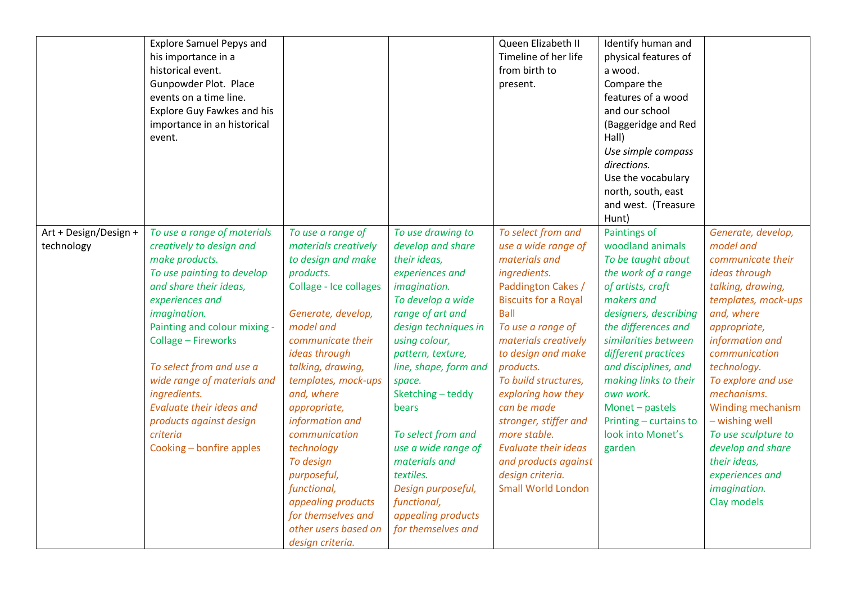|                                     | <b>Explore Samuel Pepys and</b><br>his importance in a<br>historical event.<br>Gunpowder Plot. Place<br>events on a time line.<br>Explore Guy Fawkes and his<br>importance in an historical<br>event.                                                                                                                                                                                                        |                                                                                                                                                                                                                                                                                                                                                                                                                                                |                                                                                                                                                                                                                                                                                                                                                                                                                             | Queen Elizabeth II<br>Timeline of her life<br>from birth to<br>present.                                                                                                                                                                                                                                                                                                                                                                      | Identify human and<br>physical features of<br>a wood.<br>Compare the<br>features of a wood<br>and our school<br>(Baggeridge and Red<br>Hall)<br>Use simple compass<br>directions.<br>Use the vocabulary<br>north, south, east<br>and west. (Treasure<br>Hunt)                                                                                             |                                                                                                                                                                                                                                                                                                                                                                                              |
|-------------------------------------|--------------------------------------------------------------------------------------------------------------------------------------------------------------------------------------------------------------------------------------------------------------------------------------------------------------------------------------------------------------------------------------------------------------|------------------------------------------------------------------------------------------------------------------------------------------------------------------------------------------------------------------------------------------------------------------------------------------------------------------------------------------------------------------------------------------------------------------------------------------------|-----------------------------------------------------------------------------------------------------------------------------------------------------------------------------------------------------------------------------------------------------------------------------------------------------------------------------------------------------------------------------------------------------------------------------|----------------------------------------------------------------------------------------------------------------------------------------------------------------------------------------------------------------------------------------------------------------------------------------------------------------------------------------------------------------------------------------------------------------------------------------------|-----------------------------------------------------------------------------------------------------------------------------------------------------------------------------------------------------------------------------------------------------------------------------------------------------------------------------------------------------------|----------------------------------------------------------------------------------------------------------------------------------------------------------------------------------------------------------------------------------------------------------------------------------------------------------------------------------------------------------------------------------------------|
| Art + Design/Design +<br>technology | To use a range of materials<br>creatively to design and<br>make products.<br>To use painting to develop<br>and share their ideas,<br>experiences and<br>imagination.<br>Painting and colour mixing -<br>Collage - Fireworks<br>To select from and use a<br>wide range of materials and<br>ingredients.<br><b>Evaluate their ideas and</b><br>products against design<br>criteria<br>Cooking - bonfire apples | To use a range of<br>materials creatively<br>to design and make<br>products.<br>Collage - Ice collages<br>Generate, develop,<br>model and<br>communicate their<br>ideas through<br>talking, drawing,<br>templates, mock-ups<br>and, where<br>appropriate,<br>information and<br>communication<br>technology<br>To design<br>purposeful,<br>functional,<br>appealing products<br>for themselves and<br>other users based on<br>design criteria. | To use drawing to<br>develop and share<br>their ideas,<br>experiences and<br>imagination.<br>To develop a wide<br>range of art and<br>design techniques in<br>using colour,<br>pattern, texture,<br>line, shape, form and<br>space.<br>Sketching-teddy<br>bears<br>To select from and<br>use a wide range of<br>materials and<br>textiles.<br>Design purposeful,<br>functional,<br>appealing products<br>for themselves and | To select from and<br>use a wide range of<br>materials and<br>ingredients.<br>Paddington Cakes /<br><b>Biscuits for a Royal</b><br><b>Ball</b><br>To use a range of<br>materials creatively<br>to design and make<br>products.<br>To build structures,<br>exploring how they<br>can be made<br>stronger, stiffer and<br>more stable.<br><b>Evaluate their ideas</b><br>and products against<br>design criteria.<br><b>Small World London</b> | Paintings of<br>woodland animals<br>To be taught about<br>the work of a range<br>of artists, craft<br>makers and<br>designers, describing<br>the differences and<br>similarities between<br>different practices<br>and disciplines, and<br>making links to their<br>own work.<br>Monet - pastels<br>Printing - curtains to<br>look into Monet's<br>garden | Generate, develop,<br>model and<br>communicate their<br>ideas through<br>talking, drawing,<br>templates, mock-ups<br>and, where<br>appropriate,<br>information and<br>communication<br>technology.<br>To explore and use<br>mechanisms.<br>Winding mechanism<br>- wishing well<br>To use sculpture to<br>develop and share<br>their ideas,<br>experiences and<br>imagination.<br>Clay models |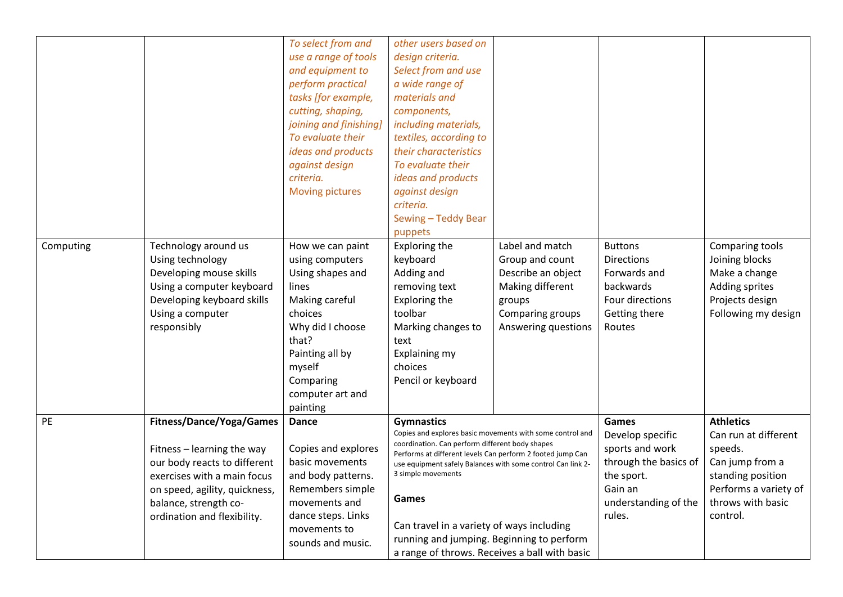|           |                                 | To select from and     | other users based on                                                              |                                                           |                       |                       |
|-----------|---------------------------------|------------------------|-----------------------------------------------------------------------------------|-----------------------------------------------------------|-----------------------|-----------------------|
|           |                                 | use a range of tools   | design criteria.                                                                  |                                                           |                       |                       |
|           |                                 | and equipment to       | Select from and use                                                               |                                                           |                       |                       |
|           |                                 | perform practical      | a wide range of                                                                   |                                                           |                       |                       |
|           |                                 | tasks [for example,    | materials and                                                                     |                                                           |                       |                       |
|           |                                 | cutting, shaping,      | components,                                                                       |                                                           |                       |                       |
|           |                                 | joining and finishing] | including materials,                                                              |                                                           |                       |                       |
|           |                                 | To evaluate their      | textiles, according to                                                            |                                                           |                       |                       |
|           |                                 | ideas and products     | their characteristics                                                             |                                                           |                       |                       |
|           |                                 | against design         | To evaluate their                                                                 |                                                           |                       |                       |
|           |                                 | criteria.              | ideas and products                                                                |                                                           |                       |                       |
|           |                                 | <b>Moving pictures</b> | against design                                                                    |                                                           |                       |                       |
|           |                                 |                        | criteria.                                                                         |                                                           |                       |                       |
|           |                                 |                        | Sewing - Teddy Bear                                                               |                                                           |                       |                       |
|           |                                 |                        | puppets                                                                           |                                                           |                       |                       |
| Computing | Technology around us            | How we can paint       | Exploring the                                                                     | Label and match                                           | <b>Buttons</b>        | Comparing tools       |
|           | Using technology                | using computers        | keyboard                                                                          | Group and count                                           | <b>Directions</b>     | Joining blocks        |
|           | Developing mouse skills         | Using shapes and       | Adding and                                                                        | Describe an object                                        | Forwards and          | Make a change         |
|           | Using a computer keyboard       | lines                  | removing text                                                                     | Making different                                          | backwards             | Adding sprites        |
|           | Developing keyboard skills      | Making careful         | Exploring the                                                                     | groups                                                    | Four directions       | Projects design       |
|           | Using a computer                | choices                | toolbar                                                                           | Comparing groups                                          | Getting there         | Following my design   |
|           | responsibly                     | Why did I choose       | Marking changes to                                                                | Answering questions                                       | Routes                |                       |
|           |                                 | that?                  | text                                                                              |                                                           |                       |                       |
|           |                                 | Painting all by        | Explaining my                                                                     |                                                           |                       |                       |
|           |                                 | myself                 | choices                                                                           |                                                           |                       |                       |
|           |                                 | Comparing              | Pencil or keyboard                                                                |                                                           |                       |                       |
|           |                                 | computer art and       |                                                                                   |                                                           |                       |                       |
|           |                                 | painting               |                                                                                   |                                                           |                       |                       |
| PE        | <b>Fitness/Dance/Yoga/Games</b> | <b>Dance</b>           | <b>Gymnastics</b>                                                                 |                                                           | Games                 | <b>Athletics</b>      |
|           |                                 |                        |                                                                                   | Copies and explores basic movements with some control and | Develop specific      | Can run at different  |
|           | Fitness - learning the way      | Copies and explores    | coordination. Can perform different body shapes                                   |                                                           | sports and work       | speeds.               |
|           | our body reacts to different    | basic movements        | Performs at different levels Can perform 2 footed jump Can                        |                                                           | through the basics of | Can jump from a       |
|           | exercises with a main focus     | and body patterns.     | use equipment safely Balances with some control Can link 2-<br>3 simple movements |                                                           | the sport.            | standing position     |
|           | on speed, agility, quickness,   | Remembers simple       |                                                                                   |                                                           | Gain an               | Performs a variety of |
|           | balance, strength co-           | movements and          | Games                                                                             |                                                           | understanding of the  | throws with basic     |
|           | ordination and flexibility.     | dance steps. Links     |                                                                                   |                                                           | rules.                | control.              |
|           |                                 | movements to           | Can travel in a variety of ways including                                         |                                                           |                       |                       |
|           |                                 | sounds and music.      | running and jumping. Beginning to perform                                         |                                                           |                       |                       |
|           |                                 |                        | a range of throws. Receives a ball with basic                                     |                                                           |                       |                       |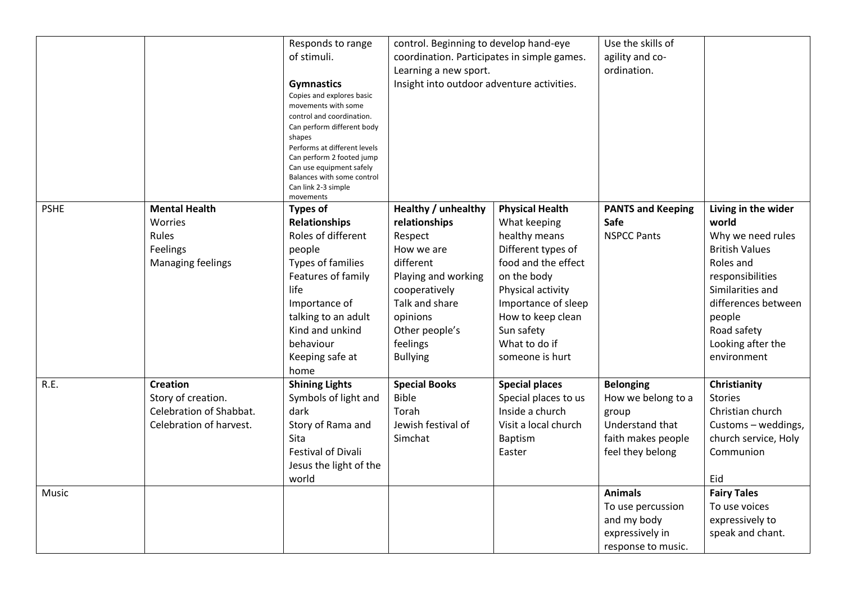|             |                                                                                             | Responds to range<br>of stimuli.<br><b>Gymnastics</b><br>Copies and explores basic<br>movements with some<br>control and coordination.<br>Can perform different body<br>shapes<br>Performs at different levels<br>Can perform 2 footed jump<br>Can use equipment safely<br>Balances with some control<br>Can link 2-3 simple | control. Beginning to develop hand-eye<br>coordination. Participates in simple games.<br>Learning a new sport.<br>Insight into outdoor adventure activities.                                      |                                                                                                                                                                                                                                        | Use the skills of<br>agility and co-<br>ordination.                                                          |                                                                                                                                                                                                                     |
|-------------|---------------------------------------------------------------------------------------------|------------------------------------------------------------------------------------------------------------------------------------------------------------------------------------------------------------------------------------------------------------------------------------------------------------------------------|---------------------------------------------------------------------------------------------------------------------------------------------------------------------------------------------------|----------------------------------------------------------------------------------------------------------------------------------------------------------------------------------------------------------------------------------------|--------------------------------------------------------------------------------------------------------------|---------------------------------------------------------------------------------------------------------------------------------------------------------------------------------------------------------------------|
| <b>PSHE</b> | <b>Mental Health</b><br>Worries<br>Rules<br>Feelings<br>Managing feelings                   | movements<br>Types of<br><b>Relationships</b><br>Roles of different<br>people<br>Types of families<br>Features of family<br>life<br>Importance of<br>talking to an adult<br>Kind and unkind<br>behaviour<br>Keeping safe at<br>home                                                                                          | Healthy / unhealthy<br>relationships<br>Respect<br>How we are<br>different<br>Playing and working<br>cooperatively<br>Talk and share<br>opinions<br>Other people's<br>feelings<br><b>Bullying</b> | <b>Physical Health</b><br>What keeping<br>healthy means<br>Different types of<br>food and the effect<br>on the body<br>Physical activity<br>Importance of sleep<br>How to keep clean<br>Sun safety<br>What to do if<br>someone is hurt | <b>PANTS and Keeping</b><br>Safe<br><b>NSPCC Pants</b>                                                       | Living in the wider<br>world<br>Why we need rules<br><b>British Values</b><br>Roles and<br>responsibilities<br>Similarities and<br>differences between<br>people<br>Road safety<br>Looking after the<br>environment |
| R.E.        | <b>Creation</b><br>Story of creation.<br>Celebration of Shabbat.<br>Celebration of harvest. | <b>Shining Lights</b><br>Symbols of light and<br>dark<br>Story of Rama and<br>Sita<br><b>Festival of Divali</b><br>Jesus the light of the<br>world                                                                                                                                                                           | <b>Special Books</b><br><b>Bible</b><br>Torah<br>Jewish festival of<br>Simchat                                                                                                                    | <b>Special places</b><br>Special places to us<br>Inside a church<br>Visit a local church<br>Baptism<br>Easter                                                                                                                          | <b>Belonging</b><br>How we belong to a<br>group<br>Understand that<br>faith makes people<br>feel they belong | Christianity<br><b>Stories</b><br>Christian church<br>Customs - weddings,<br>church service, Holy<br>Communion<br>Eid                                                                                               |
| Music       |                                                                                             |                                                                                                                                                                                                                                                                                                                              |                                                                                                                                                                                                   |                                                                                                                                                                                                                                        | <b>Animals</b><br>To use percussion<br>and my body<br>expressively in<br>response to music.                  | <b>Fairy Tales</b><br>To use voices<br>expressively to<br>speak and chant.                                                                                                                                          |